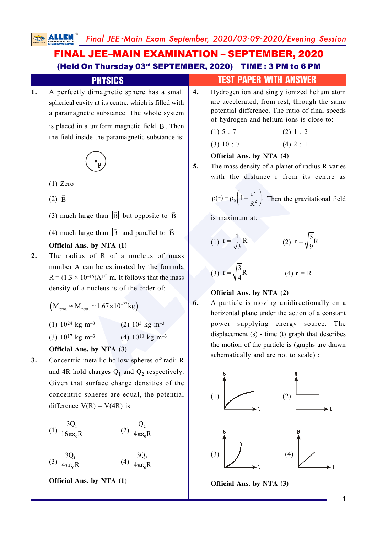# FINAL JEE–MAIN EXAMINATION – SEPTEMBER, 2020 (Held On Thursday 03rd SEPTEMBER, 2020) TIME : 3 PM to 6 PM

# **1.** A perfectly dimagnetic sphere has a small spherical cavity at its centre, which is filled with a paramagnetic substance. The whole system

is placed in a uniform magnetic field  $\vec{B}$ . Then the field inside the paramagnetic substance is:



- (1) Zero
- $(2)$   $\vec{B}$
- (3) much large than  $|\vec{B}|$  but opposite to  $\vec{B}$

(4) much large than  $|\vec{B}|$  and parallel to  $\vec{B}$ 

### **Official Ans. by NTA (1)**

**2.** The radius of R of a nucleus of mass number A can be estimated by the formula  $R = (1.3 \times 10^{-15})A^{1/3}$  m. It follows that the mass density of a nucleus is of the order of:

$$
\left(M_{\text{prot.}}\cong M_{\text{neut.}}\simeq 1.67\times 10^{-27}\,kg\right)
$$

$$
(1) 10^{24} \text{ kg m}^{-3} \qquad (2) 10^3 \text{ kg m}^{-3}
$$

$$
(3) 10^{17} \text{ kg m}^{-3} \qquad (4) 10^{10} \text{ kg m}^{-3}
$$

## **Official Ans. by NTA (3)**

**3.** Concentric metallic hollow spheres of radii R and 4R hold charges  $Q_1$  and  $Q_2$  respectively. Given that surface charge densities of the concentric spheres are equal, the potential difference  $V(R) - V(4R)$  is:

$$
(1) \frac{3Q_1}{16\pi\varepsilon_0 R} \qquad (2) \frac{Q_2}{4\pi\varepsilon_0 R}
$$

$$
(3) \frac{3Q_1}{4\pi\epsilon_0 R} \qquad (4) \frac{3Q_2}{4\pi\epsilon_0 R}
$$

**Official Ans. by NTA (1)**

## **PHYSICS** TEST PAPER WITH ANSWER

**4.** Hydrogen ion and singly ionized helium atom are accelerated, from rest, through the same potential difference. The ratio of final speeds of hydrogen and helium ions is close to:

$$
(1) 5 : 7 \t(2) 1 : 2
$$
  

$$
(3) 10 : 7 \t(4) 2 : 1
$$

$$
\begin{array}{c}\n\text{(3) 10.7} \\
\text{(4) 2}\n\end{array}
$$

## **Official Ans. by NTA (4)**

**5.** The mass density of a planet of radius R varies with the distance r from its centre as

$$
\rho(r) = \rho_0 \left( 1 - \frac{r^2}{R^2} \right)
$$
. Then the gravitational field

is maximum at:

(1) 
$$
r = \frac{1}{\sqrt{3}}R
$$
 (2)  $r = \sqrt{\frac{5}{9}}R$ 

(3) 
$$
r = \sqrt{\frac{3}{4}}R
$$
 (4)  $r = R$ 

## **Official Ans. by NTA (2)**

with the distance r from i<br>
large than |B| but opposite to B<br>
large than |B| but opposite to B<br> **ALLENDENTA (1)**<br>
Large than |B| and parallel to B<br> **ALLENDENTA (1)**<br>
(1)  $r = \frac{1}{\sqrt{3}}R$ <br>
(2)  $r =$ <br>
Can be estimated by the **6.** A particle is moving unidirectionally on a horizontal plane under the action of a constant power supplying energy source. The displacement (s) - time (t) graph that describes the motion of the particle is (graphs are drawn schematically and are not to scale) :



**Official Ans. by NTA (3)**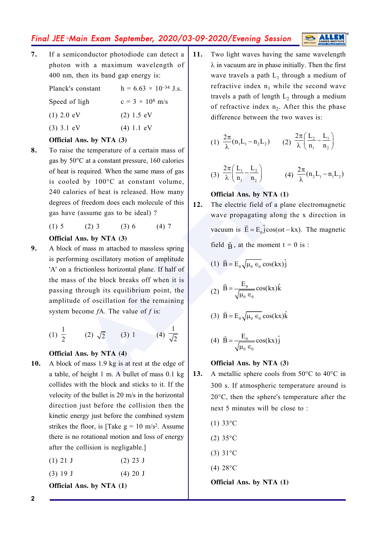**7.** If a semiconductor photodiode can detect a photon with a maximum wavelength of 400 nm, then its band gap energy is:

| $(1)$ 2.0 eV | (2) 1.5 eV   |
|--------------|--------------|
| $(3)$ 3.1 eV | $(4) 1.1$ eV |
|              |              |

#### **Official Ans. by NTA (3)**

**8.** To raise the temperature of a certain mass of gas by 50°C at a constant pressure, 160 calories of heat is required. When the same mass of gas is cooled by 100°C at constant volume, 240 calories of heat is released. How many degrees of freedom does each molecule of this gas have (assume gas to be ideal) ?

(1)  $5$  (2)  $3$  (3)  $6$  (4)  $7$ 

#### **Official Ans. by NTA (3)**

required. When the same mass of gas<br>
d by 100°C at constant volume,<br>
if freedom does each molecule of this<br>
(assume gas to be ideal)?<br>
(2) 3 (3) 6 (4) 7<br> **ALLENDE COM** and the same propagating along the *s*<br>
(assume gas t **9.** A block of mass m attached to massless spring is performing oscillatory motion of amplitude 'A' on a frictionless horizontal plane. If half of the mass of the block breaks off when it is passing through its equilibrium point, the amplitude of oscillation for the remaining system become *f*A. The value of *f* is:

(1) 
$$
\frac{1}{2}
$$
 (2)  $\sqrt{2}$  (3) 1 (4)  $\frac{1}{\sqrt{2}}$ 

#### **Official Ans. by NTA (4)**

- **10.** A block of mass 1.9 kg is at rest at the edge of a table, of height 1 m. A bullet of mass 0.1 kg collides with the block and sticks to it. If the velocity of the bullet is 20 m/s in the horizontal direction just before the collision then the kinetic energy just before the combined system strikes the floor, is [Take  $g = 10$  m/s<sup>2</sup>. Assume there is no rotational motion and loss of energy after the collision is negligable.]
	- $(1)$  21 J  $(2)$  23 J
	- (3) 19 J (4) 20 J

**Official Ans. by NTA (1)**

**11.** Two light waves having the same wavelength  $\lambda$  in vacuum are in phase initially. Then the first wave travels a path  $L_1$  through a medium of refractive index  $n_1$  while the second wave travels a path of length  $L_2$  through a medium of refractive index  $n_2$ . After this the phase difference between the two waves is:

(1) 
$$
\frac{2\pi}{\lambda} (n_1 L_1 - n_2 L_2)
$$
 (2)  $\frac{2\pi}{\lambda} \left( \frac{L_2}{n_1} - \frac{L_1}{n_2} \right)$ 

(3) 
$$
\frac{2\pi}{\lambda} \left( \frac{L_1}{n_1} - \frac{L_2}{n_2} \right)
$$
 (4)  $\frac{2\pi}{\lambda} (n_2 L_1 - n_1 L_2)$ 

#### **Official Ans. by NTA (1)**

**12.** The electric field of a plane electromagnetic wave propagating along the x direction in vacuum is  $\vec{E} = E_0 \hat{j} \cos(\omega t - kx)$ . The magnetic field  $\vec{B}$ , at the moment t = 0 is :

$$
(1) \ \vec{B} = E_0 \sqrt{\mu_0 \epsilon_0} \cos(kx) \hat{j}
$$

$$
(2) \ \vec{B} = \frac{E_0}{\sqrt{\mu_0 \epsilon_0}} \cos(kx) \hat{k}
$$

(3) 
$$
\vec{B} = E_0 \sqrt{\mu_0 \epsilon_0} \cos(kx) \hat{k}
$$

$$
(4) \ \vec{B} = \frac{E_0}{\sqrt{\mu_0 \epsilon_0}} \cos(kx) \hat{j}
$$

#### **Official Ans. by NTA (3)**

- 13. A metallic sphere cools from 50°C to 40°C in 300 s. If atmospheric temperature around is 20°C, then the sphere's temperature after the next 5 minutes will be close to :
	- $(1) 33^{\circ}C$
	- $(2)$  35 $\degree$ C
	- (3) 31°C
	- (4) 28°C

**Official Ans. by NTA (1)**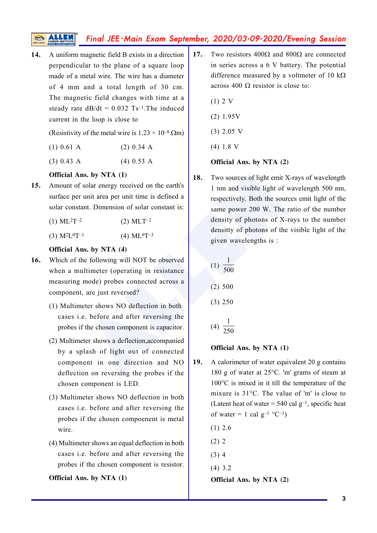**14.** A uniform magnetic field B exists in a direction perpendicular to the plane of a square loop made of a metal wire. The wire has a diameter of 4 mm and a total length of 30 cm. The magnetic field changes with time at a steady rate  $dB/dt = 0.032$  Ts<sup>-1</sup>. The induced current in the loop is close to

(Resistivity of the metal wire is  $1.23 \times 10^{-8}$  Qm)

- (1)  $0.61 \text{ A}$  (2)  $0.34 \text{ A}$
- (3) 0.43 A (4) 0.53 A

#### **Official Ans. by NTA (1)**

**15.** Amount of solar energy received on the earth's surface per unit area per unit time is defined a solar constant. Dimension of solar constant is:

| $(1)$ ML <sup>2</sup> T <sup>-2</sup> | $(2)$ MLT <sup>-2</sup> |
|---------------------------------------|-------------------------|
|---------------------------------------|-------------------------|

 $(3)$  M<sup>2</sup>L<sup>0</sup>  $T^{-1}$  (4) ML<sup>0</sup>T<sup>-3</sup>

#### **Official Ans. by NTA (4)**

- **16.** Which of the following will NOT be observed when a multimeter (operating in resistance measuring mode) probes connected across a component, are just reversed?
	- (1) Multimeter shows NO deflection in both cases i.e. before and after reversing the probes if the chosen component is capacitor.
	- (2) Multimeter shows a deflection,accompanied by a splash of light out of connected component in one direction and NO deflection on reversing the probes if the chosen component is LED.
	- (3) Multimeter shows NO deflection in both cases i.e. before and after reversing the probes if the chosen compoenent is metal wire.
	- (4) Multimeter shows an equal deflection in both cases i.e. before and after reversing the probes if the chosen component is resistor.

**Official Ans. by NTA (1)**

- 17. Two resistors  $400\Omega$  and  $800\Omega$  are connected in series across a 6 V battery. The potential difference measured by a voltmeter of 10  $k\Omega$ across 400  $\Omega$  resistor is close to:
	- (1) 2 V
	- (2) 1.95V
	- (3) 2.05 V
	- (4) 1.8 V

#### **Official Ans. by NTA (2)**

**ALLET ALLET ALLET ALLET ALLET ALLET ALLET ALLET ALLET ALLET ALLET ALLET ALLET ALLET ALLET ALLET ALLET ALLET ALLET ALLET ALLET ALLET ALLET ALLET ALLET ALLET ALLET ALLET ALLET ALLET ALLET ALLET ALLET ALLET ALLET ALLET ALLE 18.** Two sources of light emit X-rays of wavelength 1 nm and visible light of wavelength 500 nm, respectively. Both the sources emit light of the same power 200 W. The ratio of the number density of photons of X-rays to the number densitty of photons of the visible light of the given wavelengths is :

(1) 1 500 (2) 500 (3) 250 (4) 1 250

#### **Official Ans. by NTA (1)**

- **19.** A calorimeter of water equivalent 20 g contains 180 g of water at 25°C. 'm' grams of steam at 100°C is mixed in it till the temperature of the mixure is 31°C. The value of 'm' is close to (Latent heat of water =  $540$  cal g<sup>-1</sup>, specific heat of water = 1 cal  $g^{-1}$  °C<sup>-1</sup>)
	- (1) 2.6 (2) 2 (3) 4
	- (4) 3.2

**Official Ans. by NTA (2)**